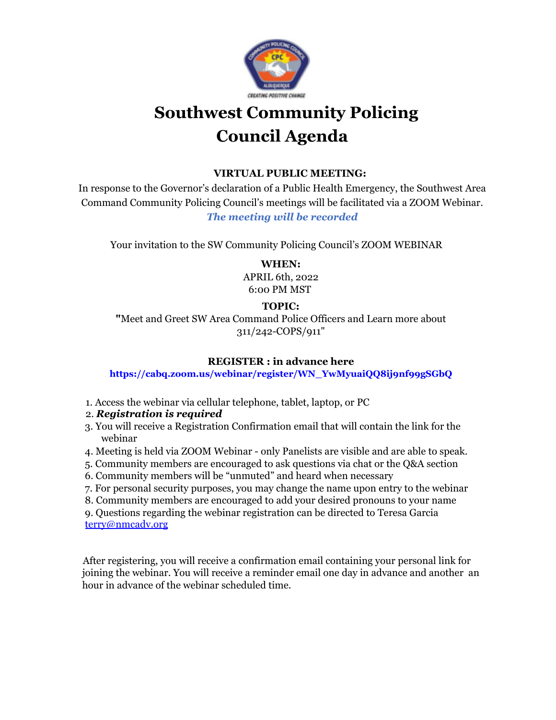

# **Southwest Community Policing Council Agenda**

#### **VIRTUAL PUBLIC MEETING:**

In response to the Governor's declaration of a Public Health Emergency, the Southwest Area Command Community Policing Council's meetings will be facilitated via a ZOOM Webinar. *The meeting will be recorded*

Your invitation to the SW Community Policing Council's ZOOM WEBINAR

**WHEN:** APRIL 6th, 2022 6:00 PM MST

#### **TOPIC:**

**"**Meet and Greet SW Area Command Police Officers and Learn more about 311/242-COPS/911"

#### **REGISTER : in advance here**

#### **https://cabq.zoom.us/webinar/register/WN\_YwMyuaiQQ8ij9nf99gSGbQ**

1. Access the webinar via cellular telephone, tablet, laptop, or PC

#### 2. *Registration is required*

- 3. You will receive a Registration Confirmation email that will contain the link for the webinar
- 4. Meeting is held via ZOOM Webinar only Panelists are visible and are able to speak.
- 5. Community members are encouraged to ask questions via chat or the Q&A section
- 6. Community members will be "unmuted" and heard when necessary
- 7. For personal security purposes, you may change the name upon entry to the webinar
- 8. Community members are encouraged to add your desired pronouns to your name

9. Questions regarding the webinar registration can be directed to Teresa Garcia terry@nmcadv.org

After registering, you will receive a confirmation email containing your personal link for joining the webinar. You will receive a reminder email one day in advance and another an hour in advance of the webinar scheduled time.